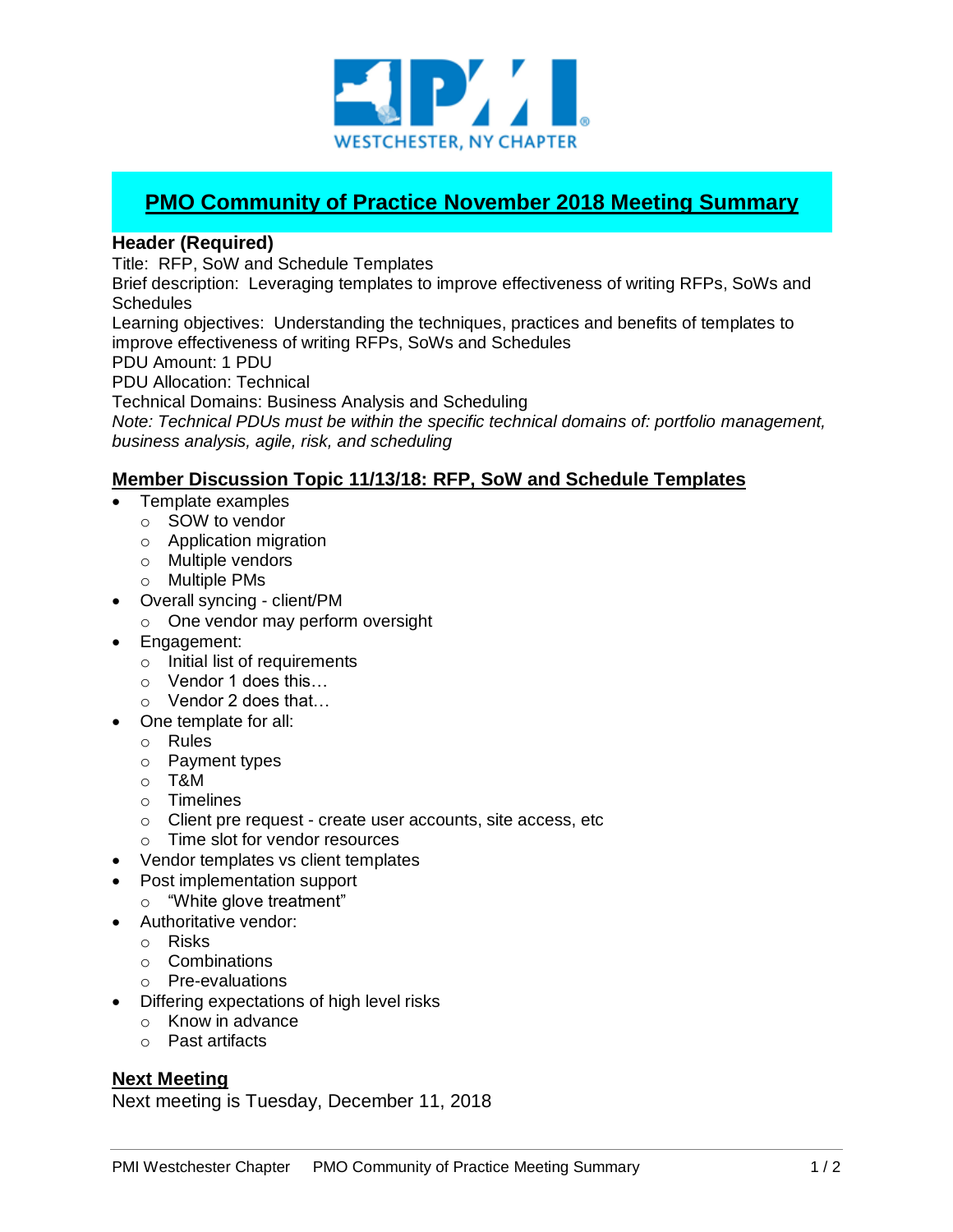

## **PMO Community of Practice November 2018 Meeting Summary**

## **Header (Required)**

Title: RFP, SoW and Schedule Templates

Brief description: Leveraging templates to improve effectiveness of writing RFPs, SoWs and **Schedules** 

Learning objectives: Understanding the techniques, practices and benefits of templates to improve effectiveness of writing RFPs, SoWs and Schedules

PDU Amount: 1 PDU

PDU Allocation: Technical

Technical Domains: Business Analysis and Scheduling

*Note: Technical PDUs must be within the specific technical domains of: portfolio management, business analysis, agile, risk, and scheduling*

## **Member Discussion Topic 11/13/18: RFP, SoW and Schedule Templates**

- Template examples
	- o SOW to vendor
	- o Application migration
	- o Multiple vendors
	- o Multiple PMs
- Overall syncing client/PM
	- o One vendor may perform oversight
- Engagement:
	- o Initial list of requirements
	- o Vendor 1 does this…
	- o Vendor 2 does that…
- One template for all:
	- o Rules
	- o Payment types
	- o T&M
	- o Timelines
	- o Client pre request create user accounts, site access, etc
	- o Time slot for vendor resources
- Vendor templates vs client templates
- Post implementation support
	- o "White glove treatment"
- Authoritative vendor:
	- o Risks
	- o Combinations
	- o Pre-evaluations
- Differing expectations of high level risks
	- o Know in advance
	- o Past artifacts

## **Next Meeting**

Next meeting is Tuesday, December 11, 2018